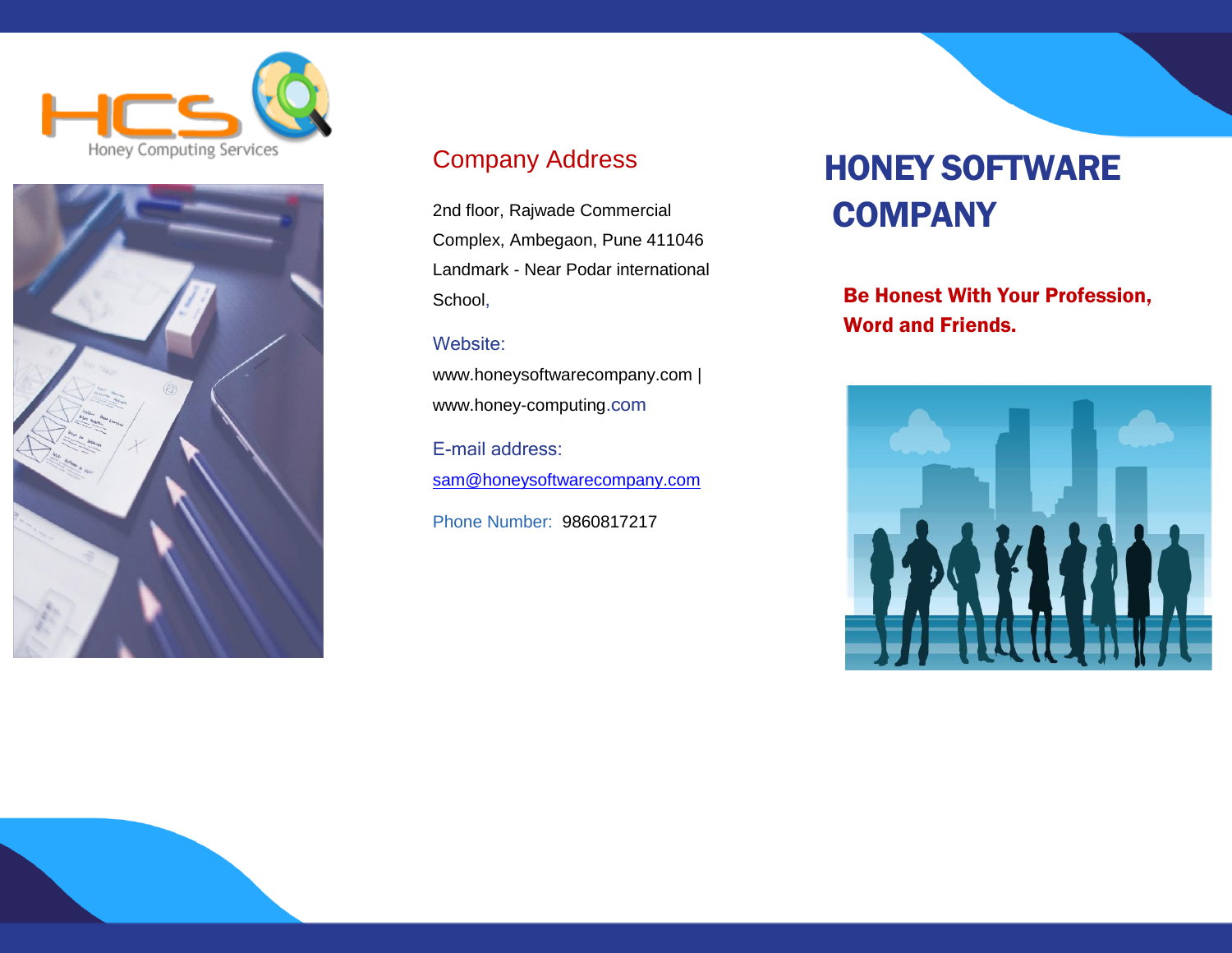



## Company Address

2nd floor, Rajwade Commercial Complex, Ambegaon, Pune 411046 Landmark - Near Podar international School,

#### Website:

www.honeysoftwarecompany.com | www.honey-computing.com

E-mail address: [sam@honeysoftwarecompany.com](mailto:sam@honeysoftwarecompany.com)

Phone Number: 9860817217

# HONEY SOFTWARE **COMPANY**

Be Honest With Your Profession, Word and Friends.

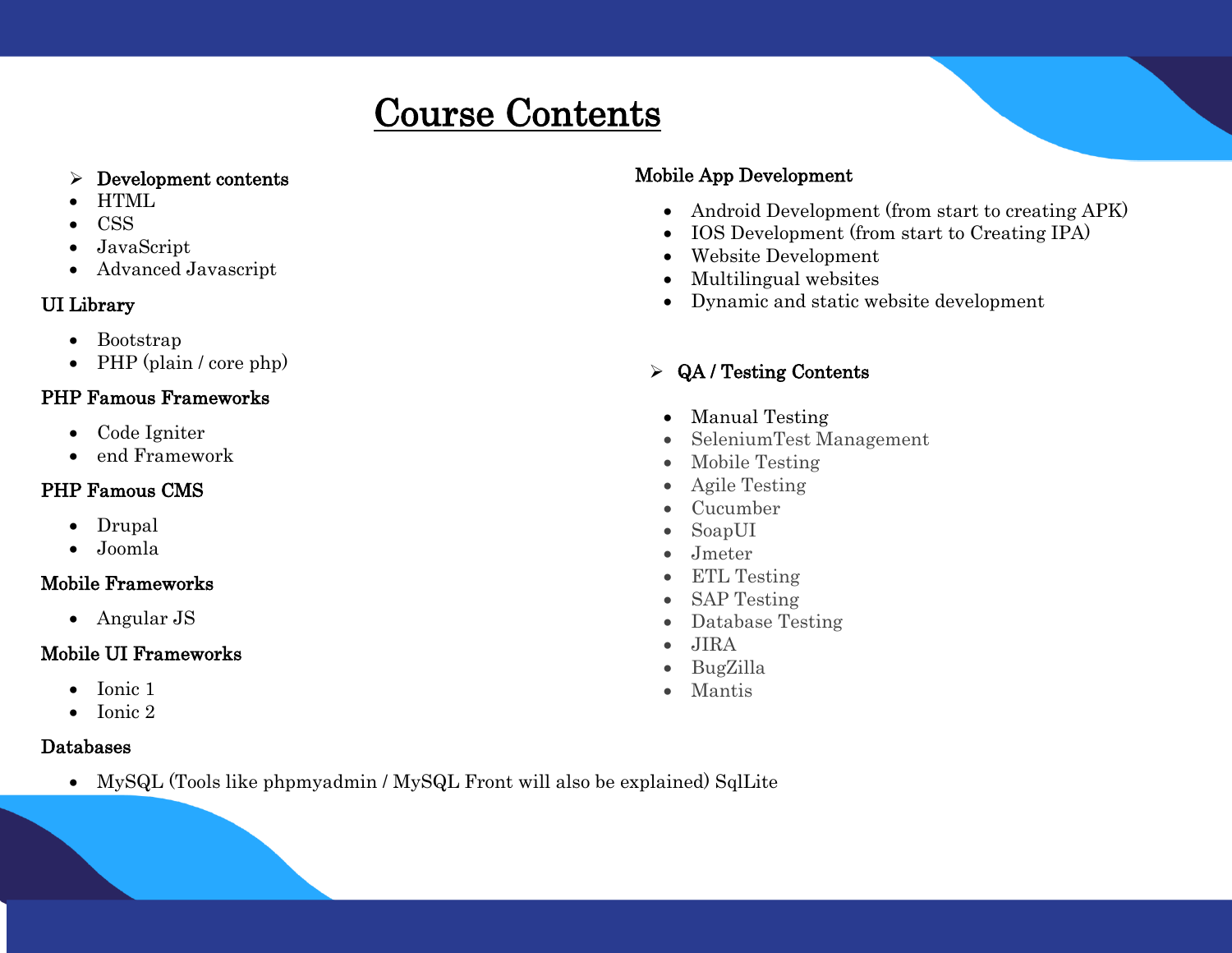## Course Contents  I

#### $\triangleright$  Development contents

- HTML
- CSS

- JavaScript
- Advanced Javascript

#### UI Library

- Bootstrap
- $\bullet$  PHP (plain / core php)

#### PHP Famous Frameworks

- Code Igniter
- end Framework

#### PHP Famous CMS

- Drupal
- Joomla

#### Mobile Frameworks

• Angular JS

#### Mobile UI Frameworks

- Ionic 1
- $\bullet$  Ionic 2

#### Databases

MySQL (Tools like phpmyadmin / MySQL Front will also be explained) SqlLite

#### Mobile App Development

- Android Development (from start to creating APK)
- IOS Development (from start to Creating IPA)
- Website Development
- Multilingual websites
- Dynamic and static website development

## QA / Testing Contents

- Manual Testing
- Seleniu[mTest Management](https://www.guru99.com/test-management.html)
- [Mobile Testing](https://www.guru99.com/mobile-testing.html)
- [Agile Testing](https://www.guru99.com/agile-testing-course.html)
- [Cucumber](https://www.guru99.com/cucumber-tutorials.html)
- [SoapUI](https://www.guru99.com/soapui-tutorial.html)
- [Jmeter](https://www.guru99.com/jmeter-tutorials.html)
- [ETL Testing](https://www.guru99.com/utlimate-guide-etl-datawarehouse-testing.html)
- [SAP Testing](https://www.guru99.com/learn-sap-testing-create-your-first-sap-test-case.html)
- [Database Testing](https://www.guru99.com/data-testing.html)
- [JIRA](https://www.guru99.com/jira-tutorial-a-complete-guide-for-beginners.html)
- [BugZilla](https://www.guru99.com/bugzilla-tutorial-for-beginners.html)
- [Mantis](https://www.guru99.com/mantis-bug-tracker-tutorial.html)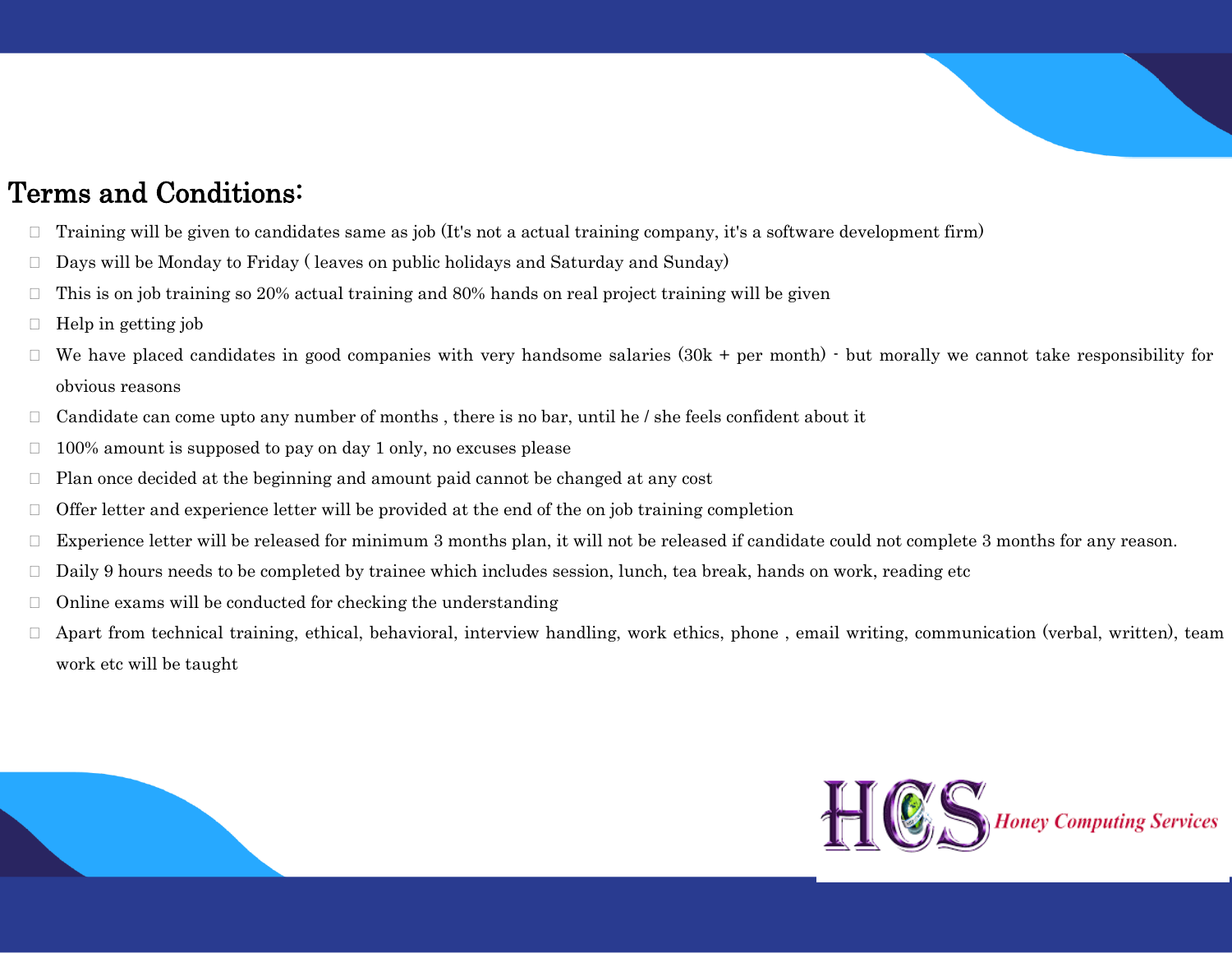

## Terms and Conditions:

- $\Box$  Training will be given to candidates same as job (It's not a actual training company, it's a software development firm)
- $\Box$  Days will be Monday to Friday ( leaves on public holidays and Saturday and Sunday)
- $\Box$  This is on job training so 20% actual training and 80% hands on real project training will be given
- $\Box$  Help in getting job
- $\Box$  We have placed candidates in good companies with very handsome salaries (30k + per month)  $\cdot$  but morally we cannot take responsibility for obvious reasons
- $\Box$  Candidate can come upto any number of months, there is no bar, until he / she feels confident about it
- $\Box$  100% amount is supposed to pay on day 1 only, no excuses please
- $\Box$  Plan once decided at the beginning and amount paid cannot be changed at any cost
- $\Box$  Offer letter and experience letter will be provided at the end of the on job training completion
- $\Box$  Experience letter will be released for minimum 3 months plan, it will not be released if candidate could not complete 3 months for any reason.
- Daily 9 hours needs to be completed by trainee which includes session, lunch, tea break, hands on work, reading etc
- $\Box$  Online exams will be conducted for checking the understanding
- $\Box$  Apart from technical training, ethical, behavioral, interview handling, work ethics, phone, email writing, communication (verbal, written), team work etc will be taught